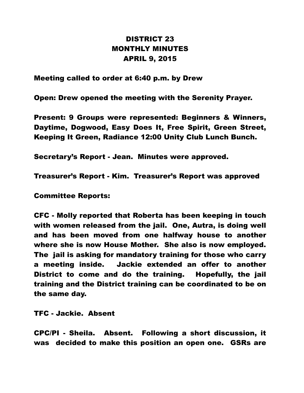## DISTRICT 23 MONTHLY MINUTES APRIL 9, 2015

Meeting called to order at 6:40 p.m. by Drew

Open: Drew opened the meeting with the Serenity Prayer.

Present: 9 Groups were represented: Beginners & Winners, Daytime, Dogwood, Easy Does It, Free Spirit, Green Street, Keeping It Green, Radiance 12:00 Unity Club Lunch Bunch.

Secretary's Report - Jean. Minutes were approved.

Treasurer's Report - Kim. Treasurer's Report was approved

Committee Reports:

CFC - Molly reported that Roberta has been keeping in touch with women released from the jail. One, Autra, is doing well and has been moved from one halfway house to another where she is now House Mother. She also is now employed. The jail is asking for mandatory training for those who carry a meeting inside. Jackie extended an offer to another District to come and do the training. Hopefully, the jail training and the District training can be coordinated to be on the same day.

TFC - Jackie. Absent

CPC/PI - Sheila. Absent. Following a short discussion, it was decided to make this position an open one. GSRs are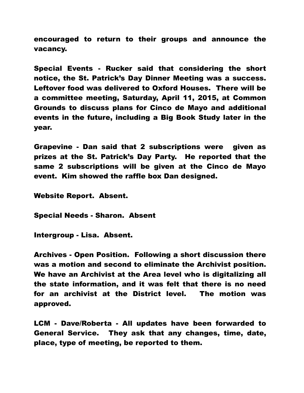encouraged to return to their groups and announce the vacancy.

Special Events - Rucker said that considering the short notice, the St. Patrick's Day Dinner Meeting was a success. Leftover food was delivered to Oxford Houses. There will be a committee meeting, Saturday, April 11, 2015, at Common Grounds to discuss plans for Cinco de Mayo and additional events in the future, including a Big Book Study later in the year.

Grapevine - Dan said that 2 subscriptions were given as prizes at the St. Patrick's Day Party. He reported that the same 2 subscriptions will be given at the Cinco de Mayo event. Kim showed the raffle box Dan designed.

Website Report. Absent.

Special Needs - Sharon. Absent

Intergroup - Lisa. Absent.

Archives - Open Position. Following a short discussion there was a motion and second to eliminate the Archivist position. We have an Archivist at the Area level who is digitalizing all the state information, and it was felt that there is no need for an archivist at the District level. The motion was approved.

LCM - Dave/Roberta - All updates have been forwarded to General Service. They ask that any changes, time, date, place, type of meeting, be reported to them.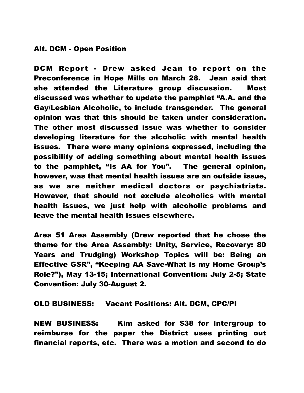## Alt. DCM - Open Position

DCM Report - Drew asked Jean to report on the Preconference in Hope Mills on March 28. Jean said that she attended the Literature group discussion. Most discussed was whether to update the pamphlet "A.A. and the Gay/Lesbian Alcoholic, to include transgender. The general opinion was that this should be taken under consideration. The other most discussed issue was whether to consider developing literature for the alcoholic with mental health issues. There were many opinions expressed, including the possibility of adding something about mental health issues to the pamphlet, "Is AA for You". The general opinion, however, was that mental health issues are an outside issue, as we are neither medical doctors or psychiatrists. However, that should not exclude alcoholics with mental health issues, we just help with alcoholic problems and leave the mental health issues elsewhere.

Area 51 Area Assembly (Drew reported that he chose the theme for the Area Assembly: Unity, Service, Recovery: 80 Years and Trudging) Workshop Topics will be: Being an Effective GSR", "Keeping AA Save-What is my Home Group's Role?"), May 13-15; International Convention: July 2-5; State Convention: July 30-August 2.

## OLD BUSINESS: Vacant Positions: Alt. DCM, CPC/PI

NEW BUSINESS: Kim asked for \$38 for Intergroup to reimburse for the paper the District uses printing out financial reports, etc. There was a motion and second to do